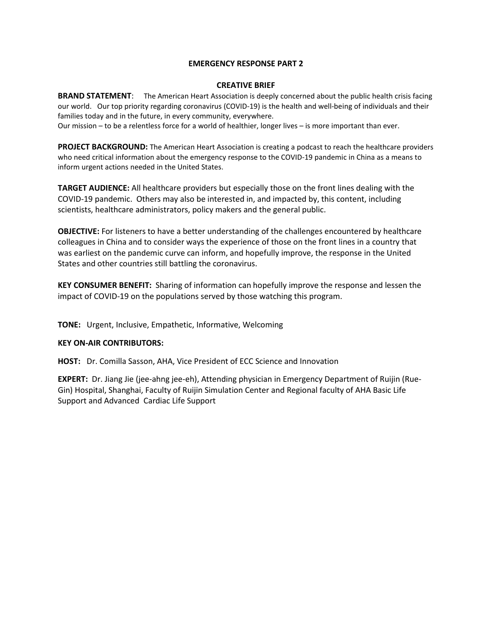#### **EMERGENCY RESPONSE PART 2**

#### **CREATIVE BRIEF**

**BRAND STATEMENT**: The American Heart Association is deeply concerned about the public health crisis facing our world. Our top priority regarding coronavirus (COVID-19) is the health and well-being of individuals and their families today and in the future, in every community, everywhere.

Our mission – to be a relentless force for a world of healthier, longer lives – is more important than ever.

**PROJECT BACKGROUND:** The American Heart Association is creating a podcast to reach the healthcare providers who need critical information about the emergency response to the COVID-19 pandemic in China as a means to inform urgent actions needed in the United States.

**TARGET AUDIENCE:** All healthcare providers but especially those on the front lines dealing with the COVID-19 pandemic. Others may also be interested in, and impacted by, this content, including scientists, healthcare administrators, policy makers and the general public.

**OBJECTIVE:** For listeners to have a better understanding of the challenges encountered by healthcare colleagues in China and to consider ways the experience of those on the front lines in a country that was earliest on the pandemic curve can inform, and hopefully improve, the response in the United States and other countries still battling the coronavirus.

**KEY CONSUMER BENEFIT:** Sharing of information can hopefully improve the response and lessen the impact of COVID-19 on the populations served by those watching this program.

**TONE:** Urgent, Inclusive, Empathetic, Informative, Welcoming

### **KEY ON-AIR CONTRIBUTORS:**

**HOST:** Dr. Comilla Sasson, AHA, Vice President of ECC Science and Innovation

**EXPERT:** Dr. Jiang Jie (jee-ahng jee-eh), Attending physician in Emergency Department of Ruijin (Rue-Gin) Hospital, Shanghai, Faculty of Ruijin Simulation Center and Regional faculty of AHA Basic Life Support and Advanced Cardiac Life Support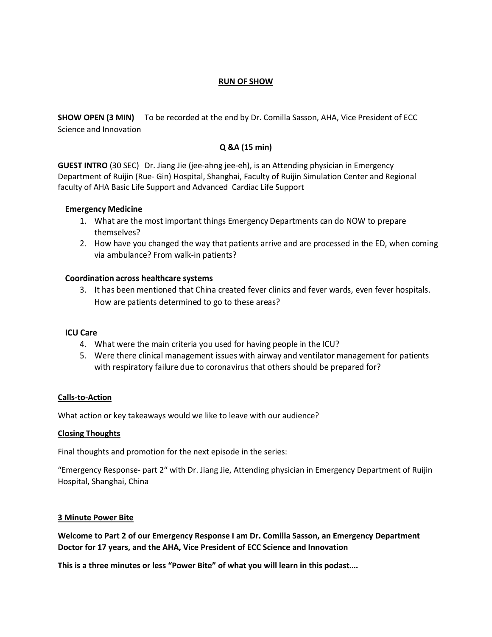### **RUN OF SHOW**

**SHOW OPEN (3 MIN)** To be recorded at the end by Dr. Comilla Sasson, AHA, Vice President of ECC Science and Innovation

# **Q &A (15 min)**

**GUEST INTRO** (30 SEC) Dr. Jiang Jie (jee-ahng jee-eh), is an Attending physician in Emergency Department of Ruijin (Rue- Gin) Hospital, Shanghai, Faculty of Ruijin Simulation Center and Regional faculty of AHA Basic Life Support and Advanced Cardiac Life Support

# **Emergency Medicine**

- 1. What are the most important things Emergency Departments can do NOW to prepare themselves?
- 2. How have you changed the way that patients arrive and are processed in the ED, when coming via ambulance? From walk-in patients?

# **Coordination across healthcare systems**

3. It has been mentioned that China created fever clinics and fever wards, even fever hospitals. How are patients determined to go to these areas?

### **ICU Care**

- 4. What were the main criteria you used for having people in the ICU?
- 5. Were there clinical management issues with airway and ventilator management for patients with respiratory failure due to coronavirus that others should be prepared for?

### **Calls-to-Action**

What action or key takeaways would we like to leave with our audience?

### **Closing Thoughts**

Final thoughts and promotion for the next episode in the series:

"Emergency Response- part 2" with Dr. Jiang Jie, Attending physician in Emergency Department of Ruijin Hospital, Shanghai, China

### **3 Minute Power Bite**

**Welcome to Part 2 of our Emergency Response I am Dr. Comilla Sasson, an Emergency Department Doctor for 17 years, and the AHA, Vice President of ECC Science and Innovation**

**This is a three minutes or less "Power Bite" of what you will learn in this podast….**